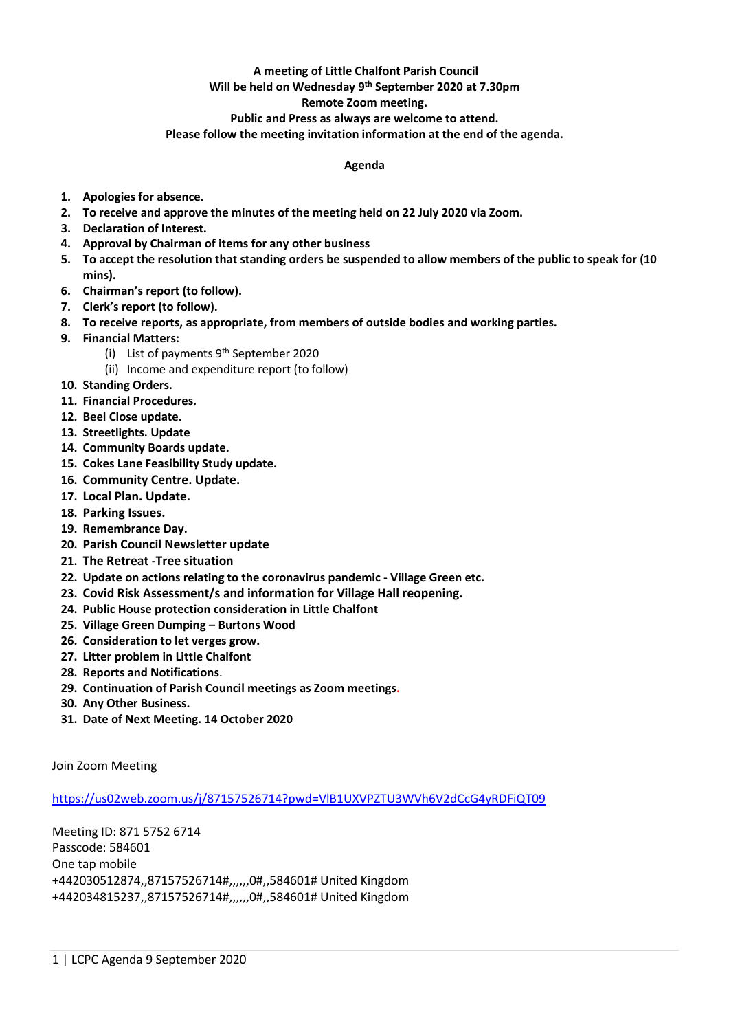# **A meeting of Little Chalfont Parish Council**

#### **Will be held on Wednesday 9 th September 2020 at 7.30pm**

### **Remote Zoom meeting.**

### **Public and Press as always are welcome to attend.**

**Please follow the meeting invitation information at the end of the agenda.**

## **Agenda**

- **1. Apologies for absence.**
- **2. To receive and approve the minutes of the meeting held on 22 July 2020 via Zoom.**
- **3. Declaration of Interest.**
- **4. Approval by Chairman of items for any other business**
- **5. To accept the resolution that standing orders be suspended to allow members of the public to speak for (10 mins).**
- **6. Chairman's report (to follow).**
- **7. Clerk's report (to follow).**
- **8. To receive reports, as appropriate, from members of outside bodies and working parties.**
- **9. Financial Matters:**
	- (i) List of payments  $9<sup>th</sup>$  September 2020
	- (ii) Income and expenditure report (to follow)
- **10. Standing Orders.**
- **11. Financial Procedures.**
- **12. Beel Close update.**
- **13. Streetlights. Update**
- **14. Community Boards update.**
- **15. Cokes Lane Feasibility Study update.**
- **16. Community Centre. Update.**
- **17. Local Plan. Update.**
- **18. Parking Issues.**
- **19. Remembrance Day.**
- **20. Parish Council Newsletter update**
- **21. The Retreat -Tree situation**
- **22. Update on actions relating to the coronavirus pandemic - Village Green etc.**
- **23. Covid Risk Assessment/s and information for Village Hall reopening.**
- **24. Public House protection consideration in Little Chalfont**
- **25. Village Green Dumping – Burtons Wood**
- **26. Consideration to let verges grow.**
- **27. Litter problem in Little Chalfont**
- **28. Reports and Notifications**.
- **29. Continuation of Parish Council meetings as Zoom meetings.**
- **30. Any Other Business.**
- **31. Date of Next Meeting. 14 October 2020**

Join Zoom Meeting

<https://us02web.zoom.us/j/87157526714?pwd=VlB1UXVPZTU3WVh6V2dCcG4yRDFiQT09>

Meeting ID: 871 5752 6714 Passcode: 584601 One tap mobile +442030512874,,87157526714#,,,,,,0#,,584601# United Kingdom +442034815237,,87157526714#,,,,,,0#,,584601# United Kingdom